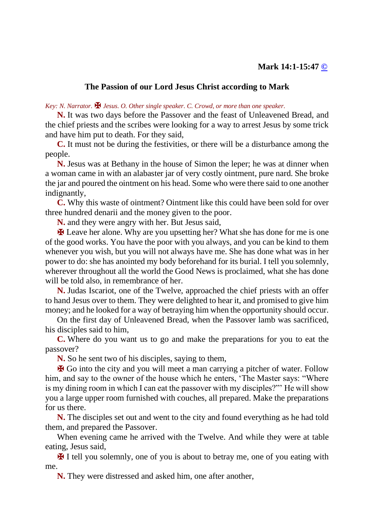## **The Passion of our Lord Jesus Christ according to Mark**

*Key: N. Narrator.* ✠ *Jesus. O. Other single speaker. C. Crowd, or more than one speaker.*

 **N.** It was two days before the Passover and the feast of Unleavened Bread, and the chief priests and the scribes were looking for a way to arrest Jesus by some trick and have him put to death. For they said,

 **C.** It must not be during the festivities, or there will be a disturbance among the people.

 **N.** Jesus was at Bethany in the house of Simon the leper; he was at dinner when a woman came in with an alabaster jar of very costly ointment, pure nard. She broke the jar and poured the ointment on his head. Some who were there said to one another indignantly,

 **C.** Why this waste of ointment? Ointment like this could have been sold for over three hundred denarii and the money given to the poor.

**N.** and they were angry with her. But Jesus said,

 ✠ Leave her alone. Why are you upsetting her? What she has done for me is one of the good works. You have the poor with you always, and you can be kind to them whenever you wish, but you will not always have me. She has done what was in her power to do: she has anointed my body beforehand for its burial. I tell you solemnly, wherever throughout all the world the Good News is proclaimed, what she has done will be told also, in remembrance of her.

 **N.** Judas Iscariot, one of the Twelve, approached the chief priests with an offer to hand Jesus over to them. They were delighted to hear it, and promised to give him money; and he looked for a way of betraying him when the opportunity should occur.

 On the first day of Unleavened Bread, when the Passover lamb was sacrificed, his disciples said to him,

 **C.** Where do you want us to go and make the preparations for you to eat the passover?

**N.** So he sent two of his disciples, saying to them,

 ✠ Go into the city and you will meet a man carrying a pitcher of water. Follow him, and say to the owner of the house which he enters, 'The Master says: "Where is my dining room in which I can eat the passover with my disciples?"' He will show you a large upper room furnished with couches, all prepared. Make the preparations for us there.

 **N.** The disciples set out and went to the city and found everything as he had told them, and prepared the Passover.

 When evening came he arrived with the Twelve. And while they were at table eating, Jesus said,

 ✠ I tell you solemnly, one of you is about to betray me, one of you eating with me.

**N.** They were distressed and asked him, one after another,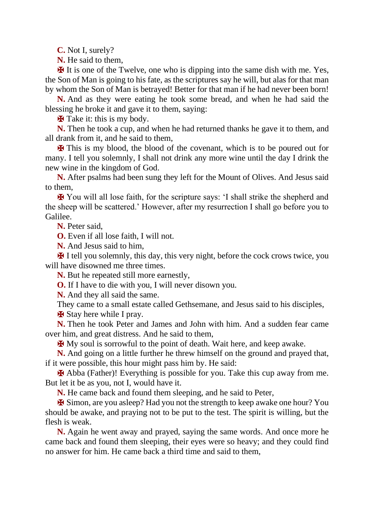**C.** Not I, surely?

**N.** He said to them,

 ✠ It is one of the Twelve, one who is dipping into the same dish with me. Yes, the Son of Man is going to his fate, as the scriptures say he will, but alas for that man by whom the Son of Man is betrayed! Better for that man if he had never been born!

 **N.** And as they were eating he took some bread, and when he had said the blessing he broke it and gave it to them, saying:

✠ Take it: this is my body.

 **N.** Then he took a cup, and when he had returned thanks he gave it to them, and all drank from it, and he said to them,

 ✠ This is my blood, the blood of the covenant, which is to be poured out for many. I tell you solemnly, I shall not drink any more wine until the day I drink the new wine in the kingdom of God.

 **N.** After psalms had been sung they left for the Mount of Olives. And Jesus said to them,

 ✠ You will all lose faith, for the scripture says: 'I shall strike the shepherd and the sheep will be scattered.' However, after my resurrection I shall go before you to Galilee.

**N.** Peter said,

**O.** Even if all lose faith, I will not.

**N.** And Jesus said to him,

 ✠ I tell you solemnly, this day, this very night, before the cock crows twice, you will have disowned me three times.

**N.** But he repeated still more earnestly,

**O.** If I have to die with you, I will never disown you.

**N.** And they all said the same.

They came to a small estate called Gethsemane, and Jesus said to his disciples,

✠ Stay here while I pray.

 **N.** Then he took Peter and James and John with him. And a sudden fear came over him, and great distress. And he said to them,

✠ My soul is sorrowful to the point of death. Wait here, and keep awake.

 **N.** And going on a little further he threw himself on the ground and prayed that, if it were possible, this hour might pass him by. He said:

 ✠ Abba (Father)! Everything is possible for you. Take this cup away from me. But let it be as you, not I, would have it.

**N.** He came back and found them sleeping, and he said to Peter,

 ✠ Simon, are you asleep? Had you not the strength to keep awake one hour? You should be awake, and praying not to be put to the test. The spirit is willing, but the flesh is weak.

 **N.** Again he went away and prayed, saying the same words. And once more he came back and found them sleeping, their eyes were so heavy; and they could find no answer for him. He came back a third time and said to them,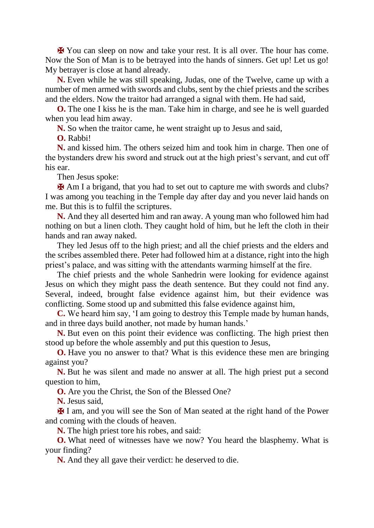✠ You can sleep on now and take your rest. It is all over. The hour has come. Now the Son of Man is to be betrayed into the hands of sinners. Get up! Let us go! My betrayer is close at hand already.

 **N.** Even while he was still speaking, Judas, one of the Twelve, came up with a number of men armed with swords and clubs, sent by the chief priests and the scribes and the elders. Now the traitor had arranged a signal with them. He had said,

 **O.** The one I kiss he is the man. Take him in charge, and see he is well guarded when you lead him away.

**N.** So when the traitor came, he went straight up to Jesus and said,

**O.** Rabbi!

 **N.** and kissed him. The others seized him and took him in charge. Then one of the bystanders drew his sword and struck out at the high priest's servant, and cut off his ear.

Then Jesus spoke:

 ✠ Am I a brigand, that you had to set out to capture me with swords and clubs? I was among you teaching in the Temple day after day and you never laid hands on me. But this is to fulfil the scriptures.

 **N.** And they all deserted him and ran away. A young man who followed him had nothing on but a linen cloth. They caught hold of him, but he left the cloth in their hands and ran away naked.

 They led Jesus off to the high priest; and all the chief priests and the elders and the scribes assembled there. Peter had followed him at a distance, right into the high priest's palace, and was sitting with the attendants warming himself at the fire.

 The chief priests and the whole Sanhedrin were looking for evidence against Jesus on which they might pass the death sentence. But they could not find any. Several, indeed, brought false evidence against him, but their evidence was conflicting. Some stood up and submitted this false evidence against him,

 **C.** We heard him say, 'I am going to destroy this Temple made by human hands, and in three days build another, not made by human hands.'

 **N.** But even on this point their evidence was conflicting. The high priest then stood up before the whole assembly and put this question to Jesus,

 **O.** Have you no answer to that? What is this evidence these men are bringing against you?

**N.** But he was silent and made no answer at all. The high priest put a second question to him,

**O.** Are you the Christ, the Son of the Blessed One?

**N.** Jesus said,

 ✠ I am, and you will see the Son of Man seated at the right hand of the Power and coming with the clouds of heaven.

**N.** The high priest tore his robes, and said:

 **O.** What need of witnesses have we now? You heard the blasphemy. What is your finding?

**N.** And they all gave their verdict: he deserved to die.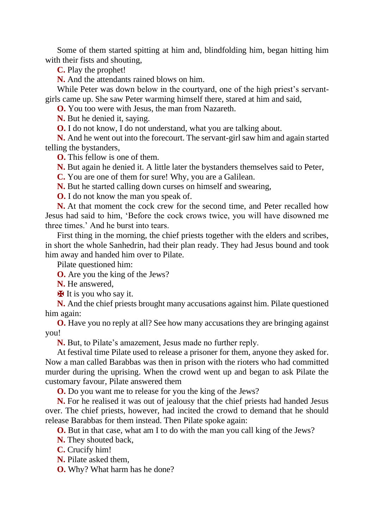Some of them started spitting at him and, blindfolding him, began hitting him with their fists and shouting,

**C.** Play the prophet!

**N.** And the attendants rained blows on him.

While Peter was down below in the courtyard, one of the high priest's servantgirls came up. She saw Peter warming himself there, stared at him and said,

**O.** You too were with Jesus, the man from Nazareth.

**N.** But he denied it, saying.

**O.** I do not know, I do not understand, what you are talking about.

 **N.** And he went out into the forecourt. The servant-girl saw him and again started telling the bystanders,

**O.** This fellow is one of them.

**N.** But again he denied it. A little later the bystanders themselves said to Peter,

**C.** You are one of them for sure! Why, you are a Galilean.

**N.** But he started calling down curses on himself and swearing,

**O.** I do not know the man you speak of.

 **N.** At that moment the cock crew for the second time, and Peter recalled how Jesus had said to him, 'Before the cock crows twice, you will have disowned me three times.' And he burst into tears.

 First thing in the morning, the chief priests together with the elders and scribes, in short the whole Sanhedrin, had their plan ready. They had Jesus bound and took him away and handed him over to Pilate.

Pilate questioned him:

**O.** Are you the king of the Jews?

**N.** He answered,

✠ It is you who say it.

 **N.** And the chief priests brought many accusations against him. Pilate questioned him again:

**O.** Have you no reply at all? See how many accusations they are bringing against you!

**N.** But, to Pilate's amazement, Jesus made no further reply.

 At festival time Pilate used to release a prisoner for them, anyone they asked for. Now a man called Barabbas was then in prison with the rioters who had committed murder during the uprising. When the crowd went up and began to ask Pilate the customary favour, Pilate answered them

**O.** Do you want me to release for you the king of the Jews?

 **N.** For he realised it was out of jealousy that the chief priests had handed Jesus over. The chief priests, however, had incited the crowd to demand that he should release Barabbas for them instead. Then Pilate spoke again:

**O.** But in that case, what am I to do with the man you call king of the Jews?

**N.** They shouted back,

**C.** Crucify him!

**N.** Pilate asked them,

**O.** Why? What harm has he done?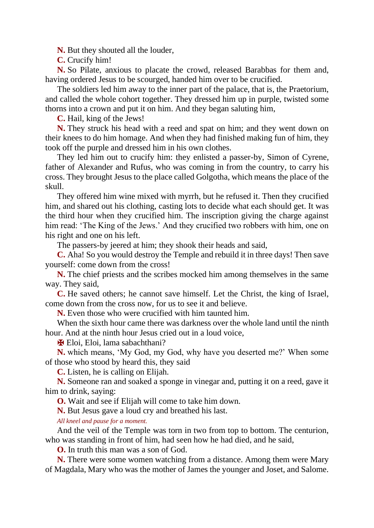**N.** But they shouted all the louder,

**C.** Crucify him!

 **N.** So Pilate, anxious to placate the crowd, released Barabbas for them and, having ordered Jesus to be scourged, handed him over to be crucified.

 The soldiers led him away to the inner part of the palace, that is, the Praetorium, and called the whole cohort together. They dressed him up in purple, twisted some thorns into a crown and put it on him. And they began saluting him,

**C.** Hail, king of the Jews!

 **N.** They struck his head with a reed and spat on him; and they went down on their knees to do him homage. And when they had finished making fun of him, they took off the purple and dressed him in his own clothes.

 They led him out to crucify him: they enlisted a passer-by, Simon of Cyrene, father of Alexander and Rufus, who was coming in from the country, to carry his cross. They brought Jesus to the place called Golgotha, which means the place of the skull.

 They offered him wine mixed with myrrh, but he refused it. Then they crucified him, and shared out his clothing, casting lots to decide what each should get. It was the third hour when they crucified him. The inscription giving the charge against him read: 'The King of the Jews.' And they crucified two robbers with him, one on his right and one on his left.

The passers-by jeered at him; they shook their heads and said,

 **C.** Aha! So you would destroy the Temple and rebuild it in three days! Then save yourself: come down from the cross!

 **N.** The chief priests and the scribes mocked him among themselves in the same way. They said,

 **C.** He saved others; he cannot save himself. Let the Christ, the king of Israel, come down from the cross now, for us to see it and believe.

**N.** Even those who were crucified with him taunted him.

 When the sixth hour came there was darkness over the whole land until the ninth hour. And at the ninth hour Jesus cried out in a loud voice.

✠ Eloi, Eloi, lama sabachthani?

 **N.** which means, 'My God, my God, why have you deserted me?' When some of those who stood by heard this, they said

**C.** Listen, he is calling on Elijah.

 **N.** Someone ran and soaked a sponge in vinegar and, putting it on a reed, gave it him to drink, saying:

**O.** Wait and see if Elijah will come to take him down.

**N.** But Jesus gave a loud cry and breathed his last.

*All kneel and pause for a moment.*

 And the veil of the Temple was torn in two from top to bottom. The centurion, who was standing in front of him, had seen how he had died, and he said,

**O.** In truth this man was a son of God.

 **N.** There were some women watching from a distance. Among them were Mary of Magdala, Mary who was the mother of James the younger and Joset, and Salome.